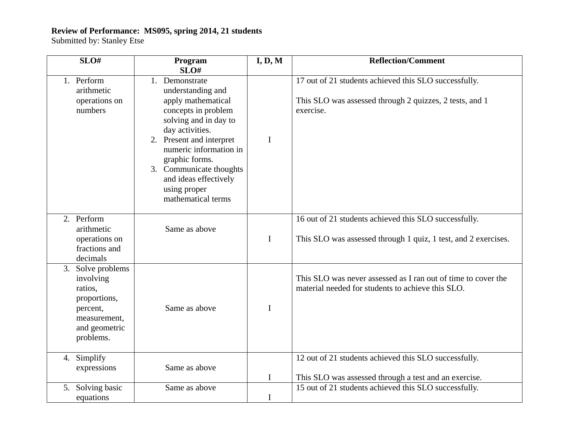## **Review of Performance: MS095, spring 2014, 21 students**

Submitted by: Stanley Etse

| SLO#                                                                                                                | Program<br>SLO#                                                                                                                                                                                                                                                                                | I, D, M     | <b>Reflection/Comment</b>                                                                                                     |
|---------------------------------------------------------------------------------------------------------------------|------------------------------------------------------------------------------------------------------------------------------------------------------------------------------------------------------------------------------------------------------------------------------------------------|-------------|-------------------------------------------------------------------------------------------------------------------------------|
| 1. Perform<br>arithmetic<br>operations on<br>numbers                                                                | 1. Demonstrate<br>understanding and<br>apply mathematical<br>concepts in problem<br>solving and in day to<br>day activities.<br>2. Present and interpret<br>numeric information in<br>graphic forms.<br>3. Communicate thoughts<br>and ideas effectively<br>using proper<br>mathematical terms | I           | 17 out of 21 students achieved this SLO successfully.<br>This SLO was assessed through 2 quizzes, 2 tests, and 1<br>exercise. |
| 2. Perform<br>arithmetic<br>operations on<br>fractions and<br>decimals                                              | Same as above                                                                                                                                                                                                                                                                                  | $\mathbf I$ | 16 out of 21 students achieved this SLO successfully.<br>This SLO was assessed through 1 quiz, 1 test, and 2 exercises.       |
| 3. Solve problems<br>involving<br>ratios,<br>proportions,<br>percent,<br>measurement,<br>and geometric<br>problems. | Same as above                                                                                                                                                                                                                                                                                  | $\mathbf I$ | This SLO was never assessed as I ran out of time to cover the<br>material needed for students to achieve this SLO.            |
| 4. Simplify<br>expressions                                                                                          | Same as above                                                                                                                                                                                                                                                                                  | I           | 12 out of 21 students achieved this SLO successfully.<br>This SLO was assessed through a test and an exercise.                |
| 5. Solving basic<br>equations                                                                                       | Same as above                                                                                                                                                                                                                                                                                  | $\mathbf I$ | 15 out of 21 students achieved this SLO successfully.                                                                         |